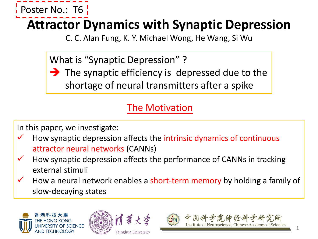

## **Attractor Dynamics with Synaptic Depression**

C. C. Alan Fung, K. Y. Michael Wong, He Wang, Si Wu

What is "Synaptic Depression" ?

 $\rightarrow$  The synaptic efficiency is depressed due to the shortage of neural transmitters after a spike

### The Motivation

In this paper, we investigate:

- How synaptic depression affects the intrinsic dynamics of continuous attractor neural networks (CANNs)
- $\checkmark$  How synaptic depression affects the performance of CANNs in tracking external stimuli
- How a neural network enables a short-term memory by holding a family of slow-decaying states









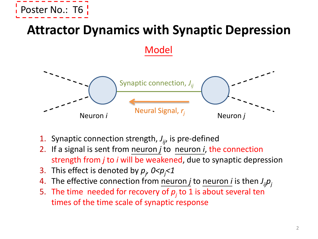

### **Attractor Dynamics with Synaptic Depression**

Model



- 1. Synaptic connection strength, *J ij*, is pre-defined
- 2. If a signal is sent from neuron *j* to neuron *i*, the connection strength from *j* to *i* will be weakened, due to synaptic depression
- 3. This effect is denoted by  $p_j$ ,  $0 < p_j < 1$
- 4. The effective connection from neuron *j* to neuron *i* is then *J ijpj*
- 5. The time needed for recovery of *p<sup>j</sup>* to 1 is about several ten times of the time scale of synaptic response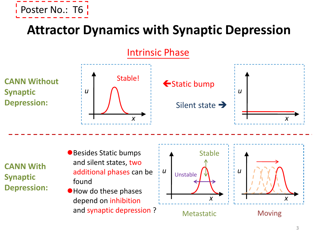

## **Attractor Dynamics with Synaptic Depression**

Intrinsic Phase

**CANN Without Synaptic Depression:**







**CANN With Synaptic Depression:**

- Besides Static bumps and silent states, two additional phases can be found
- How do these phases depend on inhibition and synaptic depression ?